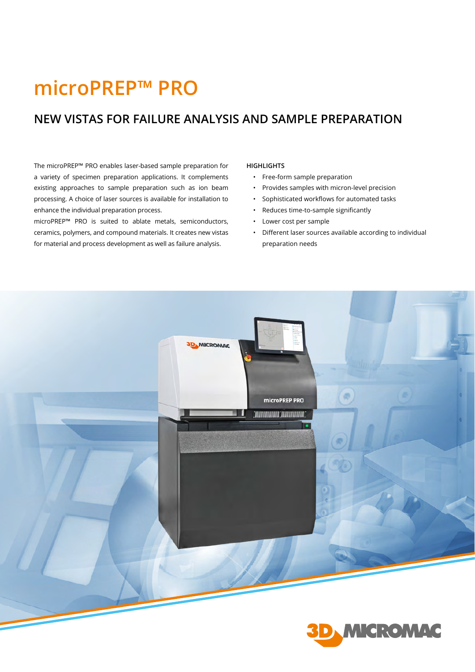# **microPREP™ PRO**

## **NEW VISTAS FOR FAILURE ANALYSIS AND SAMPLE PREPARATION**

The microPREP™ PRO enables laser-based sample preparation for a variety of specimen preparation applications. It complements existing approaches to sample preparation such as ion beam processing. A choice of laser sources is available for installation to enhance the individual preparation process.

microPREP™ PRO is suited to ablate metals, semiconductors, ceramics, polymers, and compound materials. It creates new vistas for material and process development as well as failure analysis.

#### **HIGHLIGHTS**

- Free-form sample preparation
- Provides samples with micron-level precision
- Sophisticated workflows for automated tasks
- Reduces time-to-sample significantly
- Lower cost per sample
- Different laser sources available according to individual preparation needs

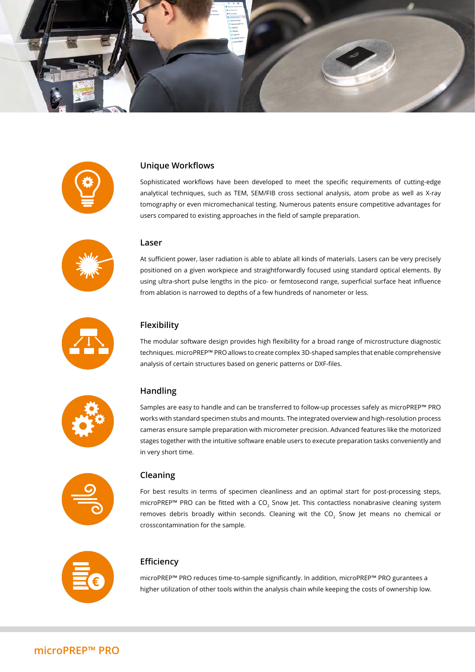



#### **Unique Workflows**

Sophisticated workflows have been developed to meet the specific requirements of cutting-edge analytical techniques, such as TEM, SEM/FIB cross sectional analysis, atom probe as well as X-ray tomography or even micromechanical testing. Numerous patents ensure competitive advantages for users compared to existing approaches in the field of sample preparation.



#### **Laser**

At sufficient power, laser radiation is able to ablate all kinds of materials. Lasers can be very precisely positioned on a given workpiece and straightforwardly focused using standard optical elements. By using ultra-short pulse lengths in the pico- or femtosecond range, superficial surface heat influence from ablation is narrowed to depths of a few hundreds of nanometer or less.



#### **Flexibility**

The modular software design provides high flexibility for a broad range of microstructure diagnostic techniques. microPREP™ PRO allows to create complex 3D-shaped samples that enable comprehensive analysis of certain structures based on generic patterns or DXF-files.



#### **Handling**

Samples are easy to handle and can be transferred to follow-up processes safely as microPREP™ PRO works with standard specimen stubs and mounts. The integrated overview and high-resolution process cameras ensure sample preparation with micrometer precision. Advanced features like the motorized stages together with the intuitive software enable users to execute preparation tasks conveniently and in very short time.



#### **Cleaning**

For best results in terms of specimen cleanliness and an optimal start for post-processing steps, microPREP<sup>™</sup> PRO can be fitted with a CO<sub>2</sub> Snow Jet. This contactless nonabrasive cleaning system removes debris broadly within seconds. Cleaning wit the  $CO<sub>2</sub>$  Snow Jet means no chemical or crosscontamination for the sample.



#### **Efficiency**

microPREP™ PRO reduces time-to-sample significantly. In addition, microPREP™ PRO gurantees a higher utilization of other tools within the analysis chain while keeping the costs of ownership low.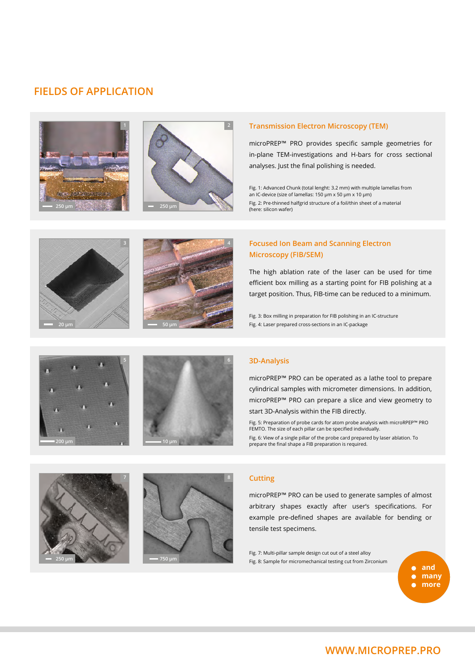### **FIELDS OF APPLICATION**





#### **<sup>1</sup> Transmission Electron Microscopy (TEM)**

microPREP™ PRO provides specific sample geometries for in-plane TEM-investigations and H-bars for cross sectional analyses. Just the final polishing is needed.

Fig. 1: Advanced Chunk (total lenght: 3.2 mm) with multiple lamellas from an IC-device (size of lamellas: 150 μm x 50 μm x 10 μm) Fig. 2: Pre-thinned halfgrid structure of a foil/thin sheet of a material (here: silicon wafer)





#### **Focused Ion Beam and Scanning Electron Microscopy (FIB/SEM)**

Fig. 4 shows an IC cross-section after FIG. **100 pm** target position. Thus, FIB-time can be reduced to a minimum. The high ablation rate of the laser can be used for time efficient box milling as a starting point for FIB polishing at a

> Fig. 3: Box milling in preparation for FIB polishing in an IC-structure Fig. 4: Laser prepared cross-sections in an IC-package





#### **3D-Analysis**

microPREP™ PRO can be operated as a lathe tool to prepare cylindrical samples with micrometer dimensions. In addition, microPREP™ PRO can prepare a slice and view geometry to start 3D-Analysis within the FIB directly.

Fig. 5: Preparation of probe cards for atom probe analysis with microRPEP™ PRO FEMTO. The size of each pillar can be specified individually. Fig. 6: View of a single pillar of the probe card prepared by laser ablation. To prepare the final shape a FIB preparation is required.





#### **Cutting**

microPREP™ PRO can be used to generate samples of almost arbitrary shapes exactly after user's specifications. For example pre-defined shapes are available for bending or tensile test specimens.

Fig. 7: Multi-pillar sample design cut out of a steel alloy Fig. 8: Sample for micromechanical testing cut from Zirconium

**and**  $\bullet$ **many more**

**WWW.MICROPREP.PRO**